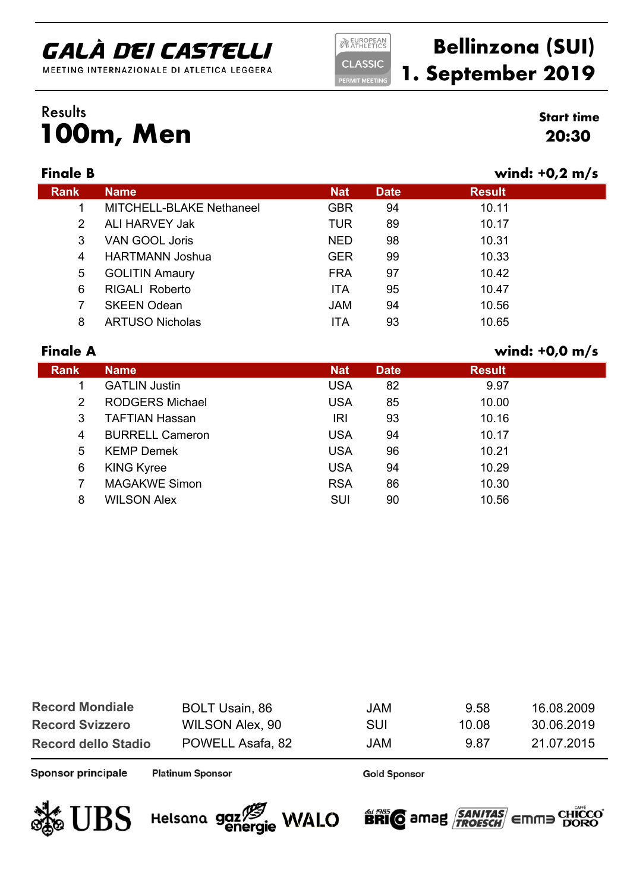MEETING INTERNAZIONALE DI ATLETICA LEGGERA

#### **NEUROPEAN CLASSIC**

**ERMIT MEETIN** 

### **Bellinzona (SUI) 1. September 2019**

### **100m, Men** Results **Start time**

| Finale |
|--------|
|--------|

|             |                          |            |             |               | $\sim$ , $\sim$ , $\sim$ |
|-------------|--------------------------|------------|-------------|---------------|--------------------------|
| <b>Rank</b> | <b>Name</b>              | <b>Nat</b> | <b>Date</b> | <b>Result</b> |                          |
|             | MITCHELL-BLAKE Nethaneel | <b>GBR</b> | 94          | 10.11         |                          |
| 2           | ALI HARVEY Jak           | TUR        | 89          | 10.17         |                          |
| 3           | VAN GOOL Joris           | <b>NED</b> | 98          | 10.31         |                          |
| 4           | <b>HARTMANN Joshua</b>   | <b>GER</b> | 99          | 10.33         |                          |
| 5           | <b>GOLITIN Amaury</b>    | <b>FRA</b> | 97          | 10.42         |                          |
| 6           | <b>RIGALI Roberto</b>    | <b>ITA</b> | 95          | 10.47         |                          |
| 7           | <b>SKEEN Odean</b>       | <b>JAM</b> | 94          | 10.56         |                          |
| 8           | <b>ARTUSO Nicholas</b>   | <b>ITA</b> | 93          | 10.65         |                          |
|             |                          |            |             |               |                          |

#### **Finale A wind: +0,0 m/s**

| .           |                        |            |             |               |
|-------------|------------------------|------------|-------------|---------------|
| <b>Rank</b> | <b>Name</b>            | <b>Nat</b> | <b>Date</b> | <b>Result</b> |
| 1           | <b>GATLIN Justin</b>   | <b>USA</b> | 82          | 9.97          |
| 2           | <b>RODGERS Michael</b> | <b>USA</b> | 85          | 10.00         |
| 3           | <b>TAFTIAN Hassan</b>  | <b>IRI</b> | 93          | 10.16         |
| 4           | <b>BURRELL Cameron</b> | <b>USA</b> | 94          | 10.17         |
| 5           | <b>KEMP Demek</b>      | <b>USA</b> | 96          | 10.21         |
| 6           | <b>KING Kyree</b>      | <b>USA</b> | 94          | 10.29         |
| 7           | <b>MAGAKWE Simon</b>   | <b>RSA</b> | 86          | 10.30         |
| 8           | <b>WILSON Alex</b>     | SUI        | 90          | 10.56         |
|             |                        |            |             |               |

| <b>Record Mondiale</b>     | <b>BOLT Usain, 86</b> | <b>JAM</b> | 9.58  | 16.08.2009 |
|----------------------------|-----------------------|------------|-------|------------|
| <b>Record Svizzero</b>     | WILSON Alex, 90       | SUI        | 10.08 | 30.06.2019 |
| <b>Record dello Stadio</b> | POWELL Asafa, 82      | <b>JAM</b> | 9.87  | 21.07.2015 |

Sponsor principale

**Platinum Sponsor** 

**Gold Sponsor** 







# **20:30**

**Finale B wind: +0,2 m/s**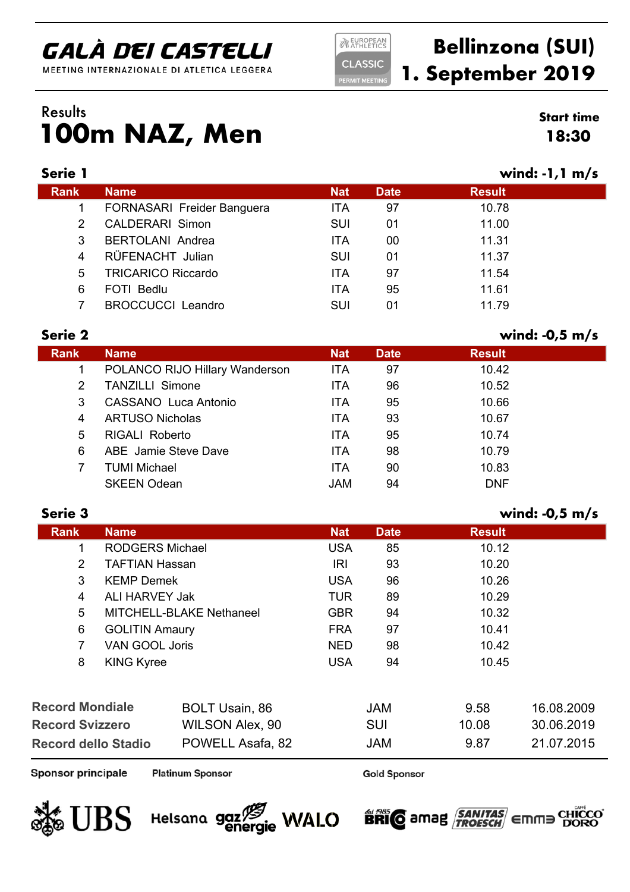MEETING INTERNAZIONALE DI ATLETICA LEGGERA

**NEUROPEAN CLASSIC ERMIT MEETIN** 

### **Bellinzona (SUI) 1. September 2019**

### **100m NAZ, Men** Results **Start time**

| <b>Start time</b> |  |
|-------------------|--|
| 18:30             |  |

| Serie 1     |                            |            |             | wind: $-1$ , $1 \text{ m/s}$ |  |
|-------------|----------------------------|------------|-------------|------------------------------|--|
| <b>Rank</b> | <b>Name</b>                | <b>Nat</b> | <b>Date</b> | <b>Result</b>                |  |
|             | FORNASARI Freider Banguera | <b>ITA</b> | 97          | 10.78                        |  |
| 2           | <b>CALDERARI Simon</b>     | SUI        | 01          | 11.00                        |  |
| 3           | <b>BERTOLANI Andrea</b>    | <b>ITA</b> | 00          | 11.31                        |  |
| 4           | RÜFENACHT Julian           | <b>SUI</b> | 01          | 11.37                        |  |
| 5           | <b>TRICARICO Riccardo</b>  | <b>ITA</b> | 97          | 11.54                        |  |
| 6           | <b>FOTI Bedlu</b>          | <b>ITA</b> | 95          | 11.61                        |  |
|             | <b>BROCCUCCI Leandro</b>   | SUI        | 01          | 11.79                        |  |
|             |                            |            |             |                              |  |

| Serie 2     |                                |            |             | wind: $-0.5$ m/s |  |
|-------------|--------------------------------|------------|-------------|------------------|--|
| <b>Rank</b> | <b>Name</b>                    | <b>Nat</b> | <b>Date</b> | <b>Result</b>    |  |
| 1           | POLANCO RIJO Hillary Wanderson | <b>ITA</b> | 97          | 10.42            |  |
| 2           | <b>TANZILLI Simone</b>         | <b>ITA</b> | 96          | 10.52            |  |
| 3           | CASSANO Luca Antonio           | <b>ITA</b> | 95          | 10.66            |  |
| 4           | <b>ARTUSO Nicholas</b>         | <b>ITA</b> | 93          | 10.67            |  |
| 5           | <b>RIGALI Roberto</b>          | <b>ITA</b> | 95          | 10.74            |  |
| 6           | ABE Jamie Steve Dave           | <b>ITA</b> | 98          | 10.79            |  |
| 7           | <b>TUMI Michael</b>            | <b>ITA</b> | 90          | 10.83            |  |
|             | <b>SKEEN Odean</b>             | <b>JAM</b> | 94          | <b>DNF</b>       |  |

#### **Serie 3 wind: -0,5 m/s**

|                               | <b>Rank</b>                             | <b>Name</b>           |                        | <b>Nat</b> | <b>Date</b> | <b>Result</b> |            |
|-------------------------------|-----------------------------------------|-----------------------|------------------------|------------|-------------|---------------|------------|
|                               | 1                                       |                       | <b>RODGERS Michael</b> | <b>USA</b> | 85          | 10.12         |            |
|                               | $\overline{2}$                          | <b>TAFTIAN Hassan</b> |                        | IRI        | 93          | 10.20         |            |
|                               | 3                                       | <b>KEMP Demek</b>     |                        | <b>USA</b> | 96          | 10.26         |            |
|                               | 4                                       | ALI HARVEY Jak        |                        | <b>TUR</b> | 89          | 10.29         |            |
| 5<br>MITCHELL-BLAKE Nethaneel |                                         | <b>GBR</b>            | 94                     | 10.32      |             |               |            |
|                               | 6<br><b>GOLITIN Amaury</b>              |                       | <b>FRA</b>             | 97         | 10.41       |               |            |
|                               | $\overline{7}$<br><b>VAN GOOL Joris</b> |                       | <b>NED</b>             | 98         | 10.42       |               |            |
|                               | 8                                       | <b>KING Kyree</b>     |                        | <b>USA</b> | 94          | 10.45         |            |
|                               |                                         |                       |                        |            |             |               |            |
|                               | <b>Record Mondiale</b>                  |                       | <b>BOLT Usain, 86</b>  |            | <b>JAM</b>  | 9.58          | 16.08.2009 |
| <b>Record Svizzero</b>        |                                         |                       | <b>WILSON Alex, 90</b> |            | <b>SUI</b>  | 10.08         | 30.06.2019 |

Sponsor principale

**Record dello Stadio**

**Platinum Sponsor** 

**Gold Sponsor** 

**BRIC** amag **SANITAS** EMME

POWELL Asafa, 82 JAM 9.87 21.07.2015



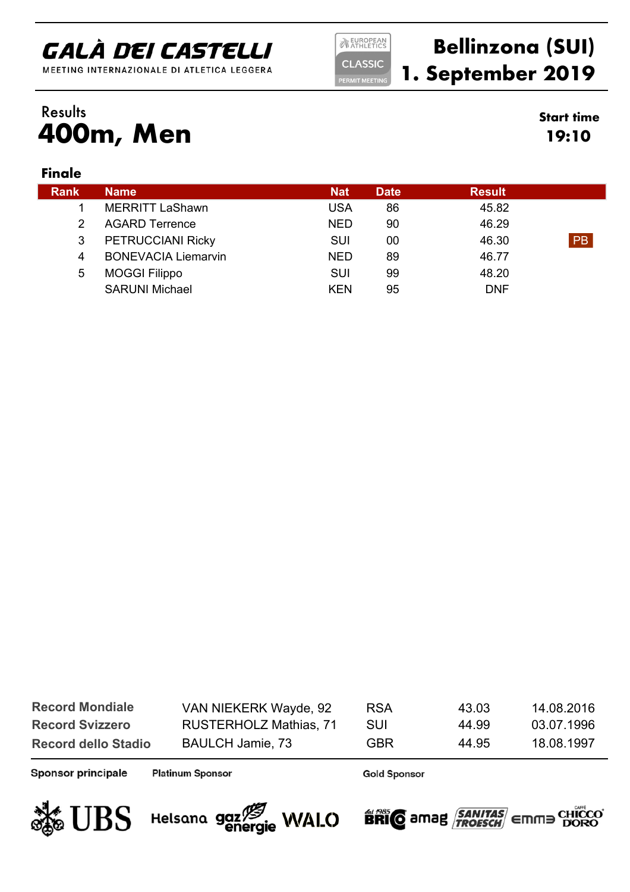MEETING INTERNAZIONALE DI ATLETICA LEGGERA

**NEUROPEAN CLASSIC** 

**ERMIT MEETING** 

### **Bellinzona (SUI) 1. September 2019**

**19:10**

#### **400m, Men** Results **Start time**

#### **Finale**

| <b>Rank</b> | <b>Name</b>                | <b>Nat</b> | <b>Date</b> | <b>Result</b> |    |
|-------------|----------------------------|------------|-------------|---------------|----|
|             | <b>MERRITT LaShawn</b>     | <b>USA</b> | 86          | 45.82         |    |
|             | <b>AGARD Terrence</b>      | <b>NED</b> | 90          | 46.29         |    |
| 3           | PETRUCCIANI Ricky          | <b>SUI</b> | 00          | 46.30         | PB |
| 4           | <b>BONEVACIA Liemarvin</b> | <b>NED</b> | 89          | 46.77         |    |
| 5           | <b>MOGGI Filippo</b>       | <b>SUI</b> | 99          | 48.20         |    |
|             | <b>SARUNI Michael</b>      | <b>KEN</b> | 95          | <b>DNF</b>    |    |
|             |                            |            |             |               |    |

| <b>Record Mondiale</b>     | VAN NIEKERK Wayde, 92  | <b>RSA</b> | 43.03 | 14.08.2016 |
|----------------------------|------------------------|------------|-------|------------|
| <b>Record Svizzero</b>     | RUSTERHOLZ Mathias, 71 | SUI        | 44.99 | 03.07.1996 |
| <b>Record dello Stadio</b> | BAULCH Jamie, 73       | GBR        | 44.95 | 18.08.1997 |

Sponsor principale

**Platinum Sponsor** 

**Gold Sponsor** 



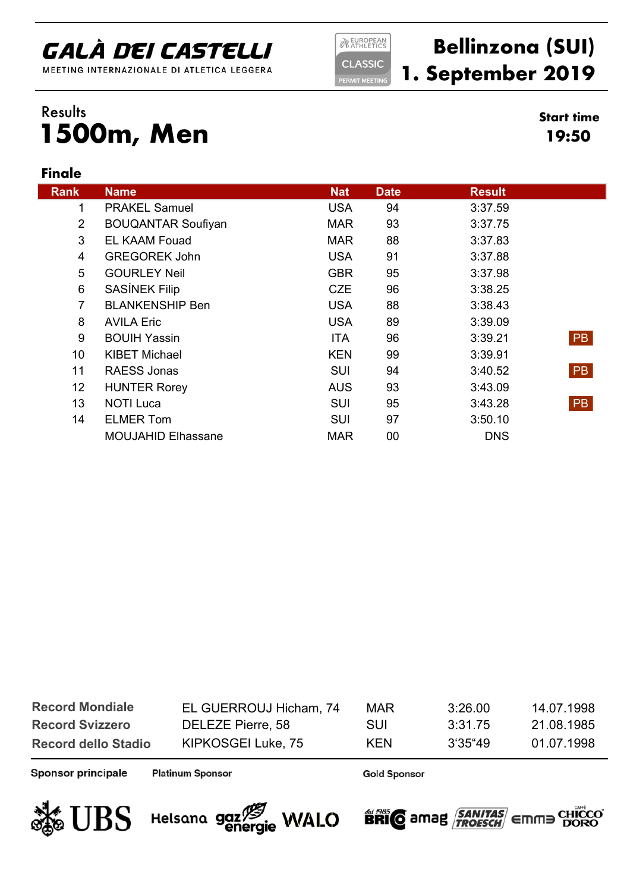MEETING INTERNAZIONALE DI ATLETICA LEGGERA

**NEUROPEAN CLASSIC** 

**ERMIT MEETING** 

### **Bellinzona (SUI) 1. September 2019**

**19:50**

#### **1500m, Men** Results **Start time**

#### **Finale**

| <b>Rank</b>     | <b>Name</b>               | <b>Nat</b> | <b>Date</b> | <b>Result</b> |           |
|-----------------|---------------------------|------------|-------------|---------------|-----------|
| 1               | <b>PRAKEL Samuel</b>      | <b>USA</b> | 94          | 3:37.59       |           |
| $\overline{2}$  | <b>BOUQANTAR Soufiyan</b> | <b>MAR</b> | 93          | 3:37.75       |           |
| 3               | <b>EL KAAM Fouad</b>      | <b>MAR</b> | 88          | 3:37.83       |           |
| 4               | <b>GREGOREK John</b>      | <b>USA</b> | 91          | 3:37.88       |           |
| 5               | <b>GOURLEY Neil</b>       | <b>GBR</b> | 95          | 3:37.98       |           |
| $\,6$           | SASÍNEK Filip             | <b>CZE</b> | 96          | 3:38.25       |           |
| $\overline{7}$  | <b>BLANKENSHIP Ben</b>    | <b>USA</b> | 88          | 3:38.43       |           |
| 8               | <b>AVILA Eric</b>         | <b>USA</b> | 89          | 3:39.09       |           |
| 9               | <b>BOUIH Yassin</b>       | <b>ITA</b> | 96          | 3:39.21       | PB        |
| 10 <sup>°</sup> | <b>KIBET Michael</b>      | <b>KEN</b> | 99          | 3:39.91       |           |
| 11              | RAESS Jonas               | <b>SUI</b> | 94          | 3:40.52       | <b>PB</b> |
| 12              | <b>HUNTER Rorey</b>       | <b>AUS</b> | 93          | 3:43.09       |           |
| 13              | <b>NOTI Luca</b>          | <b>SUI</b> | 95          | 3:43.28       | <b>PB</b> |
| 14              | <b>ELMER Tom</b>          | <b>SUI</b> | 97          | 3:50.10       |           |
|                 | <b>MOUJAHID Elhassane</b> | <b>MAR</b> | 00          | <b>DNS</b>    |           |

| <b>Record Mondiale</b>     | EL GUERROUJ Hicham, 74 | <b>MAR</b> | 3.26.00 | 14.07.1998 |
|----------------------------|------------------------|------------|---------|------------|
| <b>Record Svizzero</b>     | DELEZE Pierre, 58      | SUI        | 3:31.75 | 21.08.1985 |
| <b>Record dello Stadio</b> | KIPKOSGEI Luke, 75     | <b>KEN</b> | 3'35"49 | 01.07.1998 |

Sponsor principale

**Platinum Sponsor** 

**Gold Sponsor** 



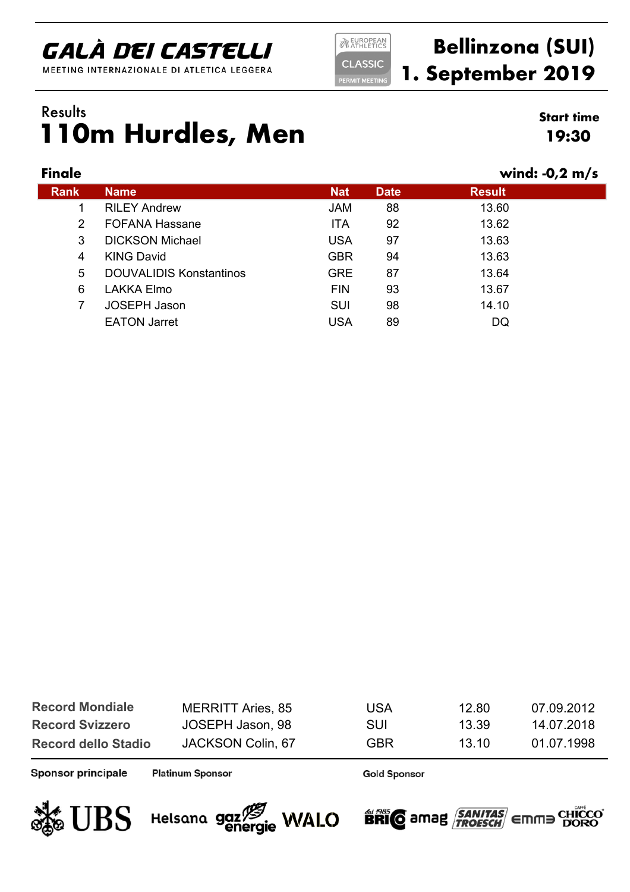MEETING INTERNAZIONALE DI ATLETICA LEGGERA

**NEUROPEAN CLASSIC ERMIT MEETIN** 

### **Bellinzona (SUI) 1. September 2019**

### **110m Hurdles, Men** Results **Start time**

#### **Finale wind: -0,2 m/s**

**19:30**

| .           |                                |            |             |               |
|-------------|--------------------------------|------------|-------------|---------------|
| <b>Rank</b> | <b>Name</b>                    | <b>Nat</b> | <b>Date</b> | <b>Result</b> |
|             | <b>RILEY Andrew</b>            | JAM        | 88          | 13.60         |
| 2           | <b>FOFANA Hassane</b>          | <b>ITA</b> | 92          | 13.62         |
| 3           | <b>DICKSON Michael</b>         | <b>USA</b> | 97          | 13.63         |
| 4           | <b>KING David</b>              | <b>GBR</b> | 94          | 13.63         |
| 5           | <b>DOUVALIDIS Konstantinos</b> | <b>GRE</b> | 87          | 13.64         |
| 6           | <b>LAKKA Elmo</b>              | <b>FIN</b> | 93          | 13.67         |
| 7           | <b>JOSEPH Jason</b>            | <b>SUI</b> | 98          | 14.10         |
|             | <b>EATON Jarret</b>            | <b>USA</b> | 89          | DQ            |
|             |                                |            |             |               |

| <b>MERRITT Aries, 85</b> | <b>USA</b> | 12.80 | 07.09.2012 |
|--------------------------|------------|-------|------------|
| JOSEPH Jason, 98         | <b>SUI</b> | 13.39 | 14.07.2018 |
| JACKSON Colin, 67        | GBR        | 13 10 | 01 07 1998 |
|                          |            |       |            |

Sponsor principale

**Platinum Sponsor** 





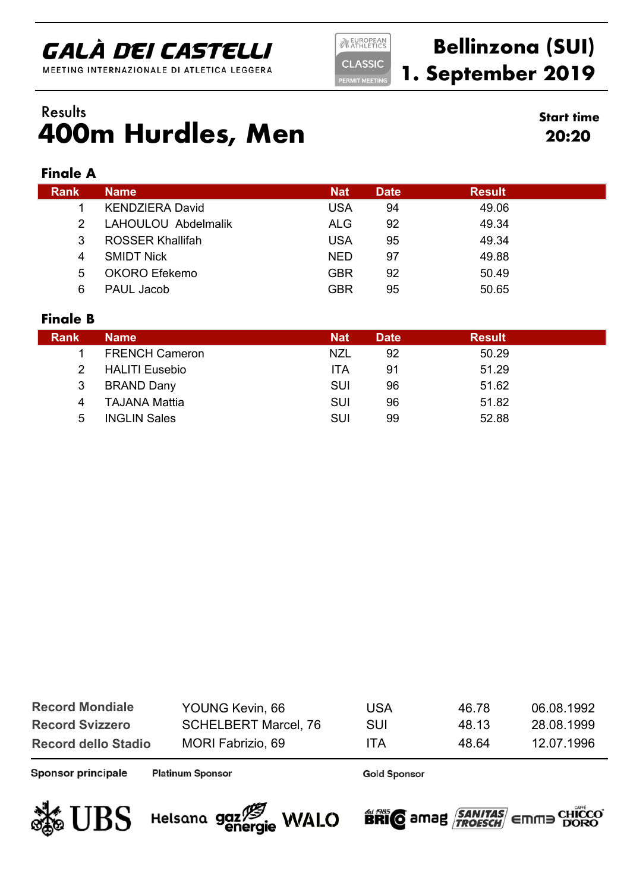MEETING INTERNAZIONALE DI ATLETICA LEGGERA

**NEUROPEAN CLASSIC ERMIT MEETIN** 

### **Bellinzona (SUI) 1. September 2019**

### **400m Hurdles, Men** Results **Start time**

**20:20**

#### **Finale A**

| <b>Rank</b> | <b>Name</b>             | <b>Nat</b> | <b>Date</b> | <b>Result</b> |
|-------------|-------------------------|------------|-------------|---------------|
|             | <b>KENDZIERA David</b>  | USA        | 94          | 49.06         |
|             | LAHOULOU Abdelmalik     | <b>ALG</b> | 92          | 49.34         |
| 3           | <b>ROSSER Khallifah</b> | <b>USA</b> | 95          | 49.34         |
| 4           | <b>SMIDT Nick</b>       | <b>NED</b> | 97          | 49.88         |
| 5           | OKORO Efekemo           | GBR        | 92          | 50.49         |
| 6           | PAUL Jacob              | <b>GBR</b> | 95          | 50.65         |
|             |                         |            |             |               |

#### **Finale B**

| <b>Rank</b>    | <b>Name</b>           | <b>Nat</b> | <b>Date</b> | <b>Result</b> |
|----------------|-----------------------|------------|-------------|---------------|
|                | <b>FRENCH Cameron</b> | <b>NZL</b> | 92          | 50.29         |
|                | <b>HALITI Eusebio</b> | <b>ITA</b> | 91          | 51.29         |
| 3              | <b>BRAND Dany</b>     | SUI        | 96          | 51.62         |
| $\overline{4}$ | <b>TAJANA Mattia</b>  | SUI        | 96          | 51.82         |
| 5              | <b>INGLIN Sales</b>   | <b>SUI</b> | 99          | 52.88         |

| <b>Record Mondiale</b>     | YOUNG Kevin, 66             | <b>USA</b> | 46.78 | 06.08.1992 |
|----------------------------|-----------------------------|------------|-------|------------|
| <b>Record Svizzero</b>     | <b>SCHELBERT Marcel, 76</b> | SUI        | 48 13 | 28.08.1999 |
| <b>Record dello Stadio</b> | MORI Fabrizio, 69           | <b>ITA</b> | 48.64 | 12.07.1996 |

Sponsor principale

**Platinum Sponsor** 

**Gold Sponsor** 



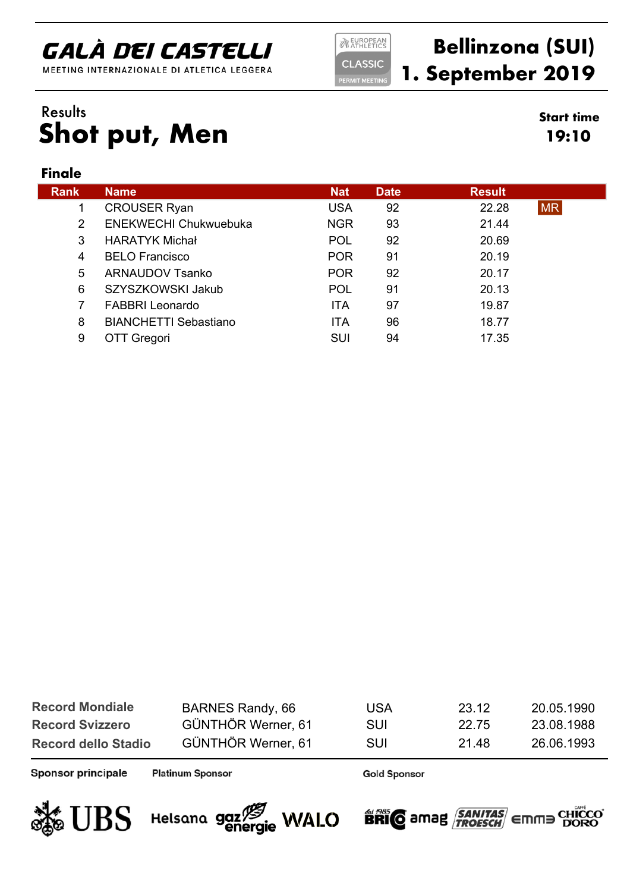MEETING INTERNAZIONALE DI ATLETICA LEGGERA

**NEUROPEAN CLASSIC** 

**ERMIT MEETIN** 

### **Bellinzona (SUI) 1. September 2019**

**19:10**

### **Shot put, Men** Results **Start time**

#### **Finale**

| <b>Rank</b>   | <b>Name</b>                  | <b>Nat</b> | <b>Date</b> | <b>Result</b> |           |
|---------------|------------------------------|------------|-------------|---------------|-----------|
|               | <b>CROUSER Ryan</b>          | <b>USA</b> | 92          | 22.28         | <b>MR</b> |
| $\mathcal{P}$ | <b>ENEKWECHI Chukwuebuka</b> | <b>NGR</b> | 93          | 21.44         |           |
| 3             | <b>HARATYK Michał</b>        | <b>POL</b> | 92          | 20.69         |           |
| 4             | <b>BELO Francisco</b>        | <b>POR</b> | 91          | 20.19         |           |
| 5             | <b>ARNAUDOV Tsanko</b>       | <b>POR</b> | 92          | 20.17         |           |
| 6             | SZYSZKOWSKI Jakub            | POL        | 91          | 20.13         |           |
|               | <b>FABBRI Leonardo</b>       | <b>ITA</b> | 97          | 19.87         |           |
| 8             | <b>BIANCHETTI Sebastiano</b> | <b>ITA</b> | 96          | 18.77         |           |
| 9             | <b>TT Gregori</b>            | SUI        | 94          | 17.35         |           |

| BARNES Randy, 66   | <b>USA</b> | 23.12 | 20.05.1990 |
|--------------------|------------|-------|------------|
| GÜNTHÖR Werner, 61 | <b>SUI</b> | 22.75 | 23.08.1988 |
| GÜNTHÖR Werner, 61 | <b>SUI</b> | 21 48 | 26.06.1993 |
|                    |            |       |            |

Sponsor principale

**Platinum Sponsor** 





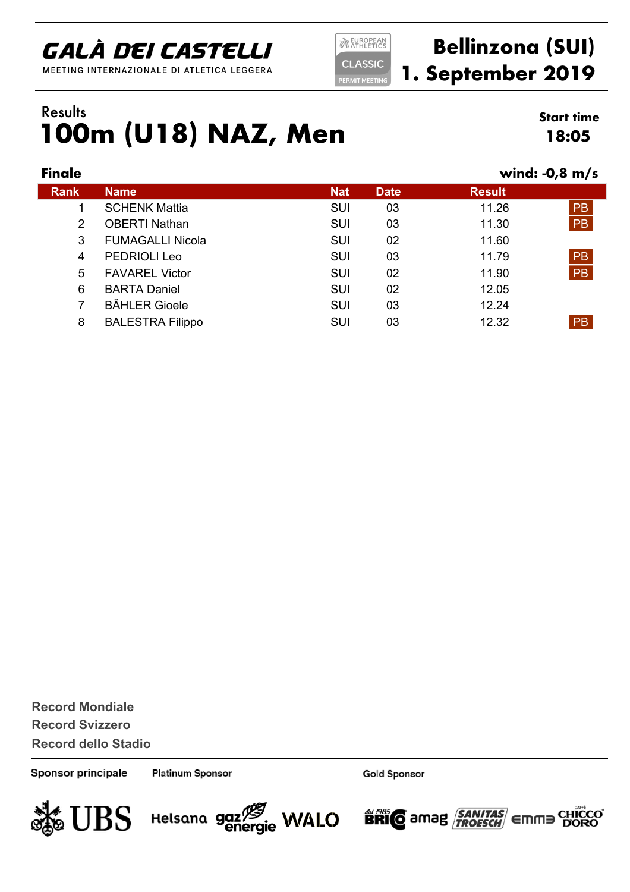MEETING INTERNAZIONALE DI ATLETICA LEGGERA

**EUROPEAN CLASSIC ERMIT MEETIN** 

### **Bellinzona (SUI) 1. September 2019**

#### **100m (U18) NAZ, Men** Results **Start time**

**18:05**

| <b>Finale</b> |                         |            |             |               | wind: $-0.8$ m/s |
|---------------|-------------------------|------------|-------------|---------------|------------------|
| <b>Rank</b>   | <b>Name</b>             | <b>Nat</b> | <b>Date</b> | <b>Result</b> |                  |
|               | <b>SCHENK Mattia</b>    | <b>SUI</b> | 03          | 11.26         | <b>PB</b>        |
| 2             | <b>OBERTI Nathan</b>    | <b>SUI</b> | 03          | 11.30         | <b>PB</b>        |
| 3             | <b>FUMAGALLI Nicola</b> | <b>SUI</b> | 02          | 11.60         |                  |
| 4             | PEDRIOLI Leo            | <b>SUI</b> | 03          | 11.79         | <b>PB</b>        |
| 5             | <b>FAVAREL Victor</b>   | <b>SUI</b> | 02          | 11.90         | PB               |
| 6             | <b>BARTA Daniel</b>     | <b>SUI</b> | 02          | 12.05         |                  |
| 7             | <b>BÄHLER Gioele</b>    | <b>SUI</b> | 03          | 12.24         |                  |
| 8             | <b>BALESTRA Filippo</b> | <b>SUI</b> | 03          | 12.32         | <b>PB</b>        |
|               |                         |            |             |               |                  |

**Record Svizzero Record dello Stadio Record Mondiale**

Sponsor principale

**Platinum Sponsor** 

Helsana gaz<sup>73</sup> WALO

**Gold Sponsor** 

**BRIC** amag **SANITAS** Emma

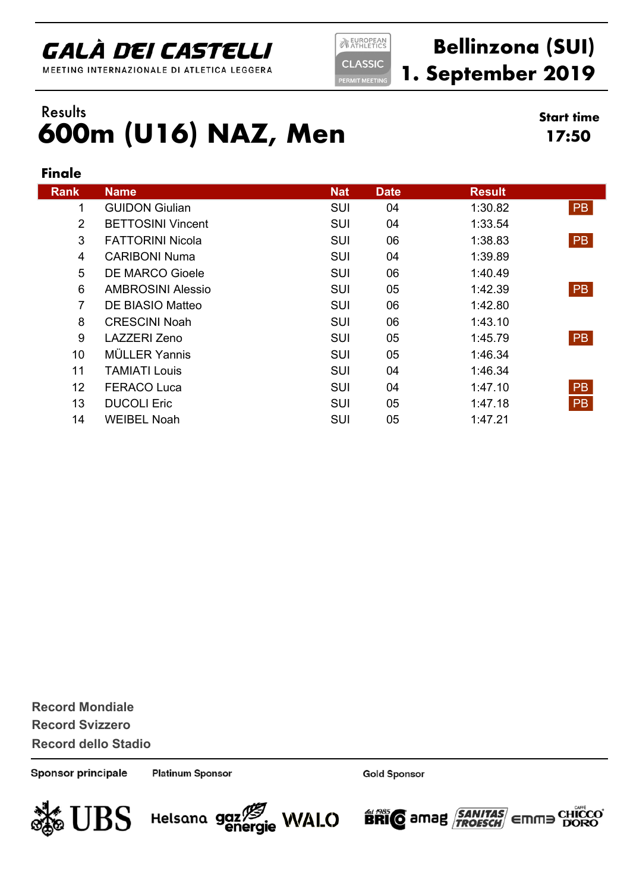MEETING INTERNAZIONALE DI ATLETICA LEGGERA

**NEUROPEAN CLASSIC ERMIT MEETIN** 

### **Bellinzona (SUI) 1. September 2019**

#### **600m (U16) NAZ, Men** Results **Start time**

**17:50**

#### **Finale**

| <b>Rank</b>     | <b>Name</b>              | <b>Nat</b> | <b>Date</b> | <b>Result</b> |           |
|-----------------|--------------------------|------------|-------------|---------------|-----------|
| 1               | <b>GUIDON Giulian</b>    | <b>SUI</b> | 04          | 1:30.82       | <b>PB</b> |
| $\overline{2}$  | <b>BETTOSINI Vincent</b> | <b>SUI</b> | 04          | 1:33.54       |           |
| 3               | <b>FATTORINI Nicola</b>  | <b>SUI</b> | 06          | 1:38.83       | <b>PB</b> |
| 4               | <b>CARIBONI Numa</b>     | <b>SUI</b> | 04          | 1:39.89       |           |
| 5               | <b>DE MARCO Gioele</b>   | <b>SUI</b> | 06          | 1:40.49       |           |
| 6               | <b>AMBROSINI Alessio</b> | <b>SUI</b> | 05          | 1:42.39       | <b>PB</b> |
| $\overline{7}$  | DE BIASIO Matteo         | <b>SUI</b> | 06          | 1:42.80       |           |
| 8               | <b>CRESCINI Noah</b>     | <b>SUI</b> | 06          | 1:43.10       |           |
| 9               | LAZZERI Zeno             | <b>SUI</b> | 05          | 1:45.79       | <b>PB</b> |
| 10 <sup>°</sup> | <b>MÜLLER Yannis</b>     | <b>SUI</b> | 05          | 1:46.34       |           |
| 11              | TAMIATI Louis            | <b>SUI</b> | 04          | 1:46.34       |           |
| 12 <sup>2</sup> | <b>FERACO Luca</b>       | <b>SUI</b> | 04          | 1:47.10       | <b>PB</b> |
| 13              | <b>DUCOLI Eric</b>       | <b>SUI</b> | 05          | 1:47.18       | <b>PB</b> |
| 14              | <b>WEIBEL Noah</b>       | <b>SUI</b> | 05          | 1:47.21       |           |

**Record Svizzero Record dello Stadio Record Mondiale**

Sponsor principale

**Platinum Sponsor** 





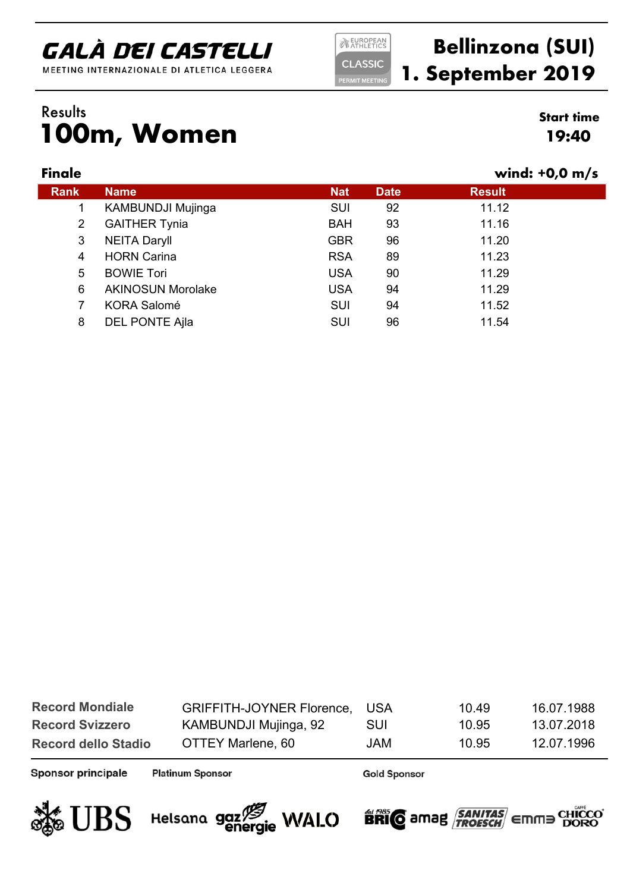MEETING INTERNAZIONALE DI ATLETICA LEGGERA

**NEUROPEAN CLASSIC** 

**ERMIT MEETING** 

### **Bellinzona (SUI) 1. September 2019**

#### **100m, Women** Results **Start time**

# **19:40**

| <b>Finale</b> |                          |            |             | wind: $+0.0$ m/s |  |
|---------------|--------------------------|------------|-------------|------------------|--|
| Rank          | <b>Name</b>              | <b>Nat</b> | <b>Date</b> | <b>Result</b>    |  |
|               | <b>KAMBUNDJI Mujinga</b> | <b>SUI</b> | 92          | 11.12            |  |
| 2             | <b>GAITHER Tynia</b>     | <b>BAH</b> | 93          | 11.16            |  |
| 3             | <b>NEITA Daryll</b>      | <b>GBR</b> | 96          | 11.20            |  |
| 4             | <b>HORN Carina</b>       | <b>RSA</b> | 89          | 11.23            |  |
| 5             | <b>BOWIE Tori</b>        | <b>USA</b> | 90          | 11.29            |  |
| 6             | <b>AKINOSUN Morolake</b> | <b>USA</b> | 94          | 11.29            |  |
| 7             | <b>KORA Salomé</b>       | <b>SUI</b> | 94          | 11.52            |  |
| 8             | <b>DEL PONTE Ajla</b>    | SUI        | 96          | 11.54            |  |
|               |                          |            |             |                  |  |

| <b>Record Mondiale</b>     | GRIFFITH-JOYNER Florence, USA |      | 10.49 | 16.07.1988 |
|----------------------------|-------------------------------|------|-------|------------|
| <b>Record Svizzero</b>     | KAMBUNDJI Mujinga, 92         | SUI  | 10.95 | 13.07.2018 |
| <b>Record dello Stadio</b> | OTTEY Marlene, 60             | JAM. | 10.95 | 12.07.1996 |

Sponsor principale

**Platinum Sponsor** 





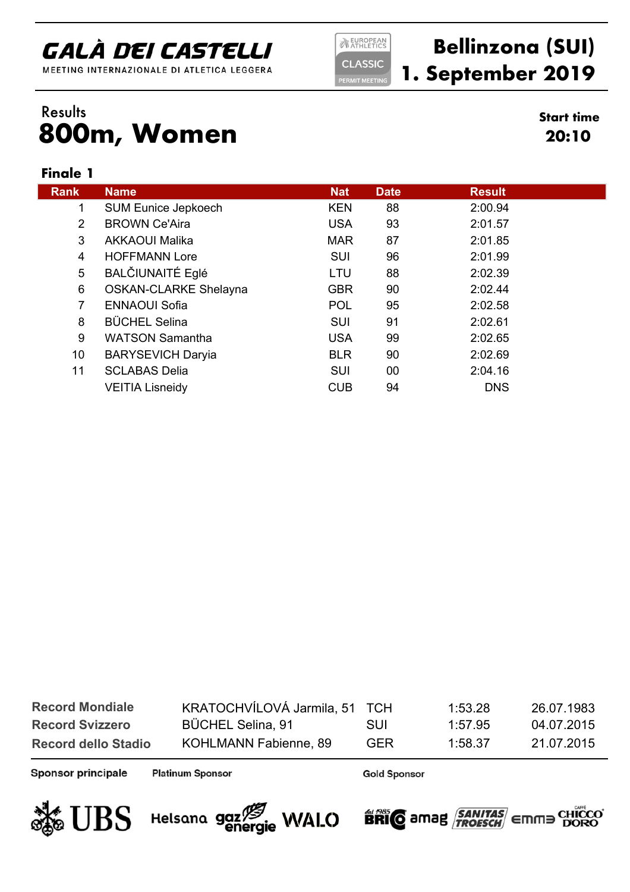MEETING INTERNAZIONALE DI ATLETICA LEGGERA

**NEUROPEAN CLASSIC** 

**ERMIT MEETING** 

### **Bellinzona (SUI) 1. September 2019**

**20:10**

#### **800m, Women** Results **Start time**

#### **Finale 1**

| <b>Rank</b>    | <b>Name</b>                  | <b>Nat</b> | <b>Date</b> | <b>Result</b> |
|----------------|------------------------------|------------|-------------|---------------|
| 1              | <b>SUM Eunice Jepkoech</b>   | <b>KEN</b> | 88          | 2:00.94       |
| $\overline{2}$ | <b>BROWN Ce'Aira</b>         | <b>USA</b> | 93          | 2:01.57       |
| 3              | <b>AKKAOUI Malika</b>        | <b>MAR</b> | 87          | 2:01.85       |
| 4              | <b>HOFFMANN Lore</b>         | SUI        | 96          | 2:01.99       |
| 5              | <b>BALČIUNAITÉ Eglé</b>      | LTU        | 88          | 2:02.39       |
| 6              | <b>OSKAN-CLARKE Shelayna</b> | <b>GBR</b> | 90          | 2:02.44       |
| 7              | <b>ENNAOUI Sofia</b>         | <b>POL</b> | 95          | 2:02.58       |
| 8              | <b>BÜCHEL Selina</b>         | SUI        | 91          | 2:02.61       |
| 9              | <b>WATSON Samantha</b>       | <b>USA</b> | 99          | 2:02.65       |
| 10             | <b>BARYSEVICH Daryia</b>     | <b>BLR</b> | 90          | 2:02.69       |
| 11             | <b>SCLABAS Delia</b>         | SUI        | 00          | 2:04.16       |
|                | <b>VEITIA Lisneidy</b>       | <b>CUB</b> | 94          | <b>DNS</b>    |

| <b>Record Mondiale</b>     | KRATOCHVÍLOVÁ Jarmila, 51 TCH |            | 1:53.28 | 26.07.1983 |
|----------------------------|-------------------------------|------------|---------|------------|
| <b>Record Svizzero</b>     | <b>BÜCHEL Selina, 91</b>      | <b>SUI</b> | 1.57.95 | 04.07.2015 |
| <b>Record dello Stadio</b> | KOHLMANN Fabienne, 89         | GER        | 1.58.37 | 21.07.2015 |

Sponsor principale

**Platinum Sponsor** 





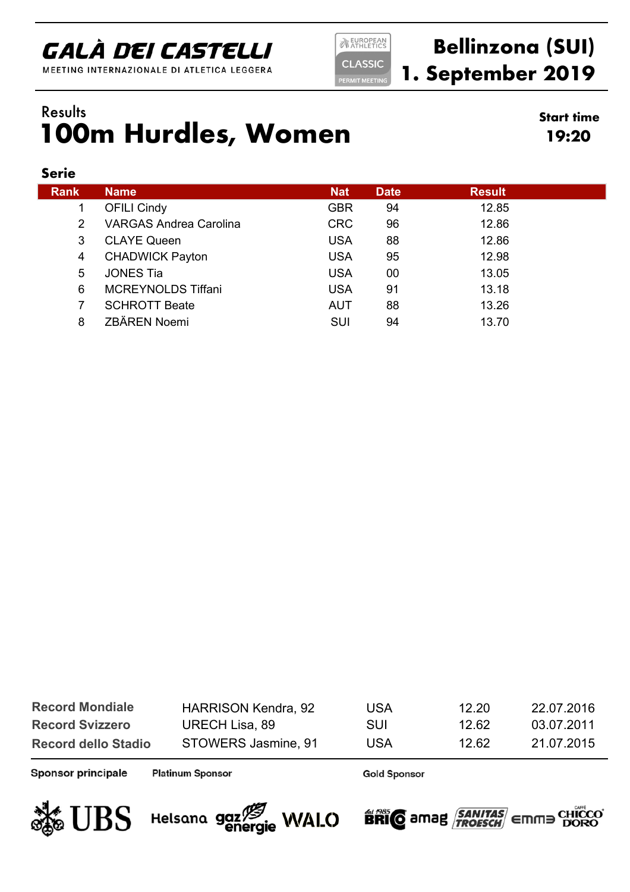MEETING INTERNAZIONALE DI ATLETICA LEGGERA

**NEUROPEAN CLASSIC ERMIT MEETIN** 

### **Bellinzona (SUI) 1. September 2019**

### **100m Hurdles, Women** Results **Start time**

**19:20**

#### **Serie**

| <b>Rank</b> | <b>Name</b>                   | <b>Nat</b> | <b>Date</b> | <b>Result</b> |
|-------------|-------------------------------|------------|-------------|---------------|
|             | <b>OFILI Cindy</b>            | <b>GBR</b> | 94          | 12.85         |
| 2           | <b>VARGAS Andrea Carolina</b> | <b>CRC</b> | 96          | 12.86         |
| 3           | <b>CLAYE Queen</b>            | <b>USA</b> | 88          | 12.86         |
| 4           | <b>CHADWICK Payton</b>        | <b>USA</b> | 95          | 12.98         |
| 5           | <b>JONES Tia</b>              | <b>USA</b> | 00          | 13.05         |
| 6           | <b>MCREYNOLDS Tiffani</b>     | <b>USA</b> | 91          | 13.18         |
|             | <b>SCHROTT Beate</b>          | <b>AUT</b> | 88          | 13.26         |
| 8           | ZBÄREN Noemi                  | SUI        | 94          | 13.70         |

| <b>Record Mondiale</b>     | <b>HARRISON Kendra, 92</b> | <b>USA</b> | 12.20 | 22.07.2016 |
|----------------------------|----------------------------|------------|-------|------------|
| <b>Record Svizzero</b>     | URECH Lisa, 89             | SUI        | 12.62 | 03.07.2011 |
| <b>Record dello Stadio</b> | STOWERS Jasmine, 91        | USA        | 12.62 | 21.07.2015 |

Sponsor principale

**Platinum Sponsor** 

Helsana gaz<sup>75</sup> WALO

**Gold Sponsor** 

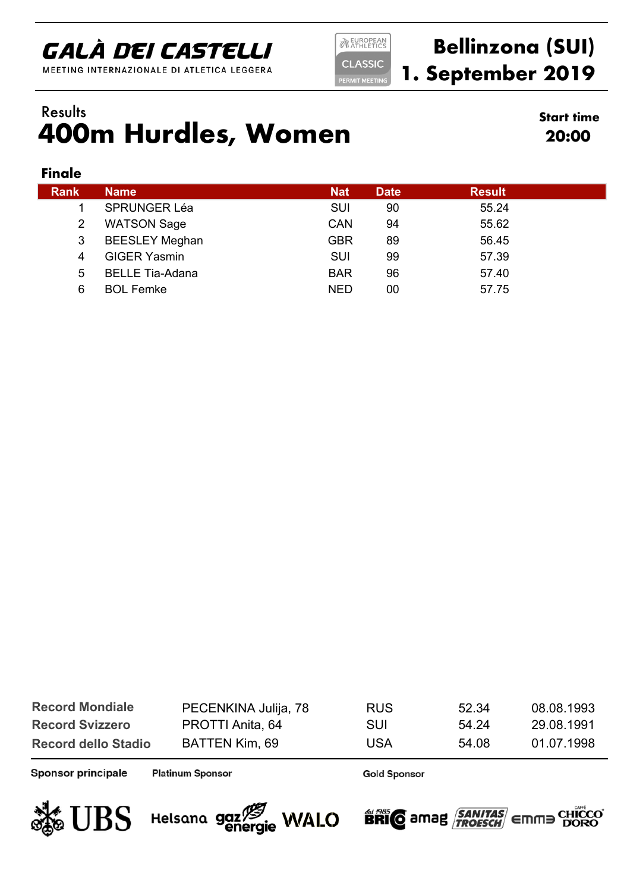MEETING INTERNAZIONALE DI ATLETICA LEGGERA

**NEUROPEAN CLASSIC ERMIT MEETIN** 

### **Bellinzona (SUI) 1. September 2019**

### **400m Hurdles, Women** Results **Start time**

**20:00**

#### **Finale**

| Rank | <b>Name</b>            | <b>Nat</b> | <b>Date</b> | <b>Result</b> |  |
|------|------------------------|------------|-------------|---------------|--|
|      | <b>SPRUNGER Léa</b>    | <b>SUI</b> | 90          | 55.24         |  |
| 2    | <b>WATSON Sage</b>     | <b>CAN</b> | 94          | 55.62         |  |
| 3    | <b>BEESLEY Meghan</b>  | <b>GBR</b> | 89          | 56.45         |  |
| 4    | <b>GIGER Yasmin</b>    | <b>SUI</b> | 99          | 57.39         |  |
| 5    | <b>BELLE Tia-Adana</b> | <b>BAR</b> | 96          | 57.40         |  |
| 6    | <b>BOL Femke</b>       | <b>NED</b> | 00          | 57.75         |  |

| <b>Record Mondiale</b>     | PECENKINA Julija, 78 | <b>RUS</b> | 52.34 | 08.08.1993 |
|----------------------------|----------------------|------------|-------|------------|
| <b>Record Svizzero</b>     | PROTTI Anita, 64     | SUI        | 54 24 | 29.08.1991 |
| <b>Record dello Stadio</b> | BATTEN Kim, 69       | <b>USA</b> | 54.08 | 01.07.1998 |

Sponsor principale

**Platinum Sponsor** 

**Gold Sponsor** 



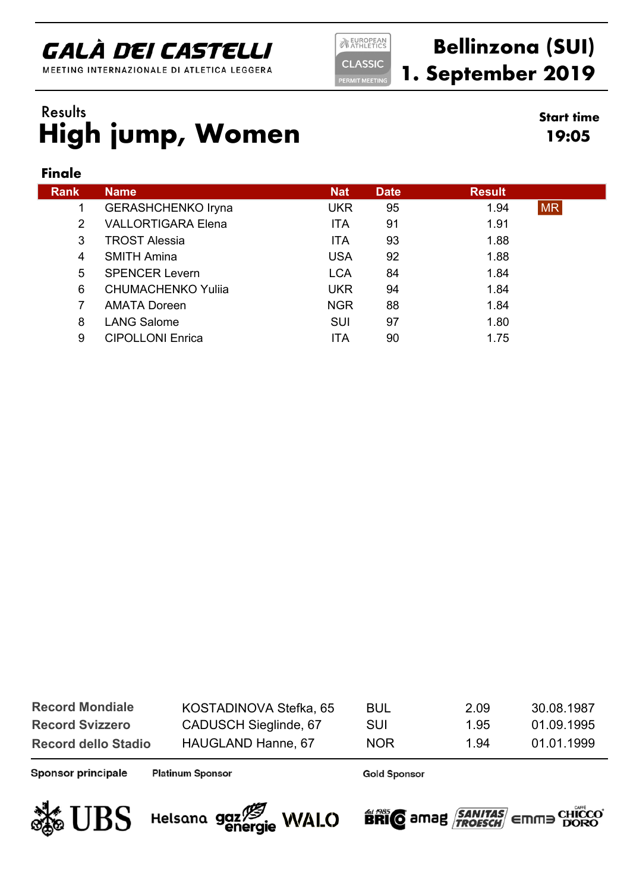MEETING INTERNAZIONALE DI ATLETICA LEGGERA

**NEUROPEAN CLASSIC** 

**ERMIT MEETIN** 

### **Bellinzona (SUI) 1. September 2019**

**19:05**

### **High jump, Women** Results **Start time**

#### **Finale**

| <b>Rank</b>   | <b>Name</b>               | <b>Nat</b> | <b>Date</b> | <b>Result</b> |           |
|---------------|---------------------------|------------|-------------|---------------|-----------|
|               |                           |            |             |               |           |
|               | <b>GERASHCHENKO Iryna</b> | <b>UKR</b> | 95          | 1.94          | <b>MR</b> |
| $\mathcal{P}$ | <b>VALLORTIGARA Elena</b> | <b>ITA</b> | 91          | 1.91          |           |
| 3             | <b>TROST Alessia</b>      | <b>ITA</b> | 93          | 1.88          |           |
| 4             | <b>SMITH Amina</b>        | <b>USA</b> | 92          | 1.88          |           |
| 5             | <b>SPENCER Levern</b>     | <b>LCA</b> | 84          | 1.84          |           |
| 6             | <b>CHUMACHENKO Yulija</b> | <b>UKR</b> | 94          | 1.84          |           |
|               | <b>AMATA Doreen</b>       | <b>NGR</b> | 88          | 1.84          |           |
| 8             | <b>LANG Salome</b>        | <b>SUI</b> | 97          | 1.80          |           |
| 9             | <b>CIPOLLONI Enrica</b>   | ITA        | 90          | 1.75          |           |

| <b>Record Mondiale</b>     | KOSTADINOVA Stefka, 65 | BUL        | 2.09 | 30.08.1987 |
|----------------------------|------------------------|------------|------|------------|
| <b>Record Svizzero</b>     | CADUSCH Sieglinde, 67  | <b>SUI</b> | 1.95 | 01.09.1995 |
| <b>Record dello Stadio</b> | HAUGLAND Hanne, 67     | <b>NOR</b> | 1 94 | 01.01.1999 |

Sponsor principale

**Platinum Sponsor** 

**Gold Sponsor** 



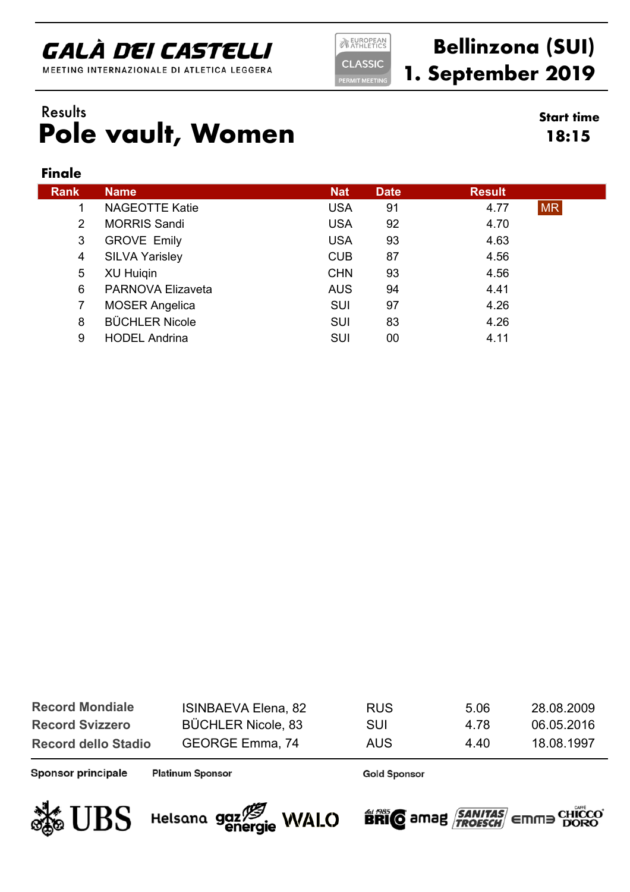MEETING INTERNAZIONALE DI ATLETICA LEGGERA

**NEUROPEAN CLASSIC ERMIT MEETIN** 

### **Bellinzona (SUI) 1. September 2019**

**18:15**

#### **Pole vault, Women** Results **Start time**

#### **Finale**

| <b>Rank</b> | <b>Name</b>              | <b>Nat</b> | <b>Date</b> | <b>Result</b>     |  |
|-------------|--------------------------|------------|-------------|-------------------|--|
|             | <b>NAGEOTTE Katie</b>    | <b>USA</b> | 91          | <b>MR</b><br>4.77 |  |
| 2           | <b>MORRIS Sandi</b>      | <b>USA</b> | 92          | 4.70              |  |
| 3           | <b>GROVE Emily</b>       | <b>USA</b> | 93          | 4.63              |  |
| 4           | <b>SILVA Yarisley</b>    | <b>CUB</b> | 87          | 4.56              |  |
| 5           | <b>XU Huigin</b>         | <b>CHN</b> | 93          | 4.56              |  |
| 6           | <b>PARNOVA Elizaveta</b> | <b>AUS</b> | 94          | 4.41              |  |
|             | <b>MOSER Angelica</b>    | <b>SUI</b> | 97          | 4.26              |  |
| 8           | <b>BÜCHLER Nicole</b>    | <b>SUI</b> | 83          | 4.26              |  |
| 9           | <b>HODEL Andrina</b>     | <b>SUI</b> | 00          | 4.11              |  |

| <b>Record Mondiale</b>     | <b>ISINBAEVA Elena, 82</b> | <b>RUS</b> | 5.06 | 28.08.2009 |
|----------------------------|----------------------------|------------|------|------------|
| <b>Record Svizzero</b>     | <b>BÜCHLER Nicole, 83</b>  | SUI        | 4.78 | 06.05.2016 |
| <b>Record dello Stadio</b> | GEORGE Emma, 74            | AUS        | 440  | 18.08.1997 |

Sponsor principale

**Platinum Sponsor** 





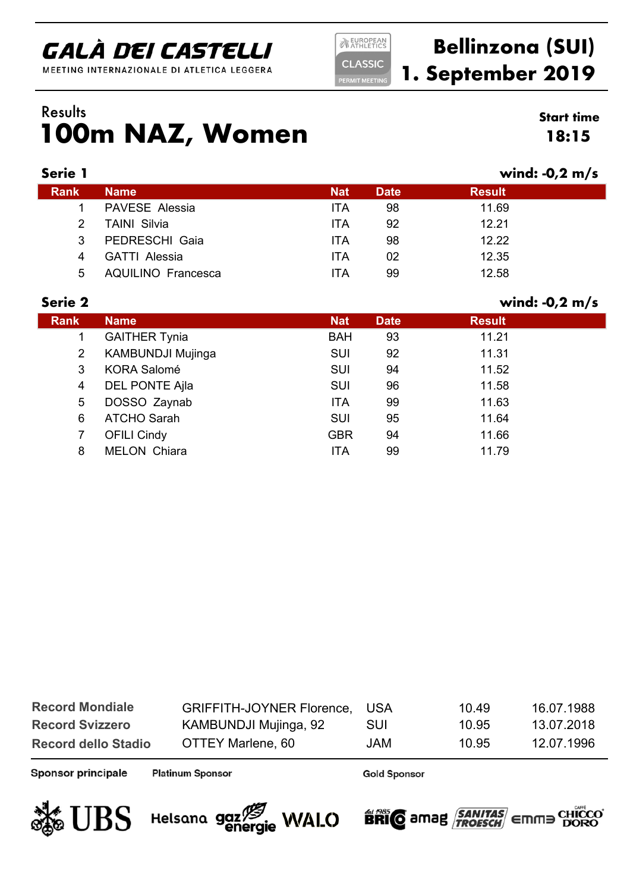MEETING INTERNAZIONALE DI ATLETICA LEGGERA

**NEUROPEAN CLASSIC ERMIT MEETIN** 

### **Bellinzona (SUI) 1. September 2019**

### **100m NAZ, Women** Results **Start time**

| <b>Start time</b> |  |
|-------------------|--|
| 18:15             |  |

| <b>Name</b>               | <b>Nat</b> | <b>Date</b> | <b>Result</b> |                  |
|---------------------------|------------|-------------|---------------|------------------|
| <b>PAVESE Alessia</b>     | <b>ITA</b> | 98          | 11.69         |                  |
| <b>TAINI Silvia</b>       | ITA        | 92          | 12.21         |                  |
| PEDRESCHI Gaia            | ITA        | 98          | 12.22         |                  |
| <b>GATTI Alessia</b>      | <b>ITA</b> | 02          | 12.35         |                  |
| <b>AQUILINO Francesca</b> | ITA        | 99          | 12.58         |                  |
|                           |            |             |               | wind: $-0.2$ m/s |

| Serie 2        |                          |            |             | wind: $-0.2$ m/s |
|----------------|--------------------------|------------|-------------|------------------|
| <b>Rank</b>    | <b>Name</b>              | <b>Nat</b> | <b>Date</b> | <b>Result</b>    |
|                | <b>GAITHER Tynia</b>     | <b>BAH</b> | 93          | 11.21            |
| $\overline{2}$ | <b>KAMBUNDJI Mujinga</b> | <b>SUI</b> | 92          | 11.31            |
| 3              | <b>KORA Salomé</b>       | <b>SUI</b> | 94          | 11.52            |
| 4              | <b>DEL PONTE Ajla</b>    | <b>SUI</b> | 96          | 11.58            |
| 5              | DOSSO Zaynab             | <b>ITA</b> | 99          | 11.63            |
| 6              | <b>ATCHO Sarah</b>       | <b>SUI</b> | 95          | 11.64            |
| 7              | <b>OFILI Cindy</b>       | <b>GBR</b> | 94          | 11.66            |
| 8              | <b>MELON Chiara</b>      | <b>ITA</b> | 99          | 11.79            |

| <b>Record Mondiale</b>     | GRIFFITH-JOYNER Florence, USA |     | 10.49 | 16.07.1988 |
|----------------------------|-------------------------------|-----|-------|------------|
| <b>Record Svizzero</b>     | KAMBUNDJI Mujinga, 92         | SUI | 10.95 | 13.07.2018 |
| <b>Record dello Stadio</b> | OTTEY Marlene, 60             | JAM | 10.95 | 12.07.1996 |

Sponsor principale

**Platinum Sponsor** 





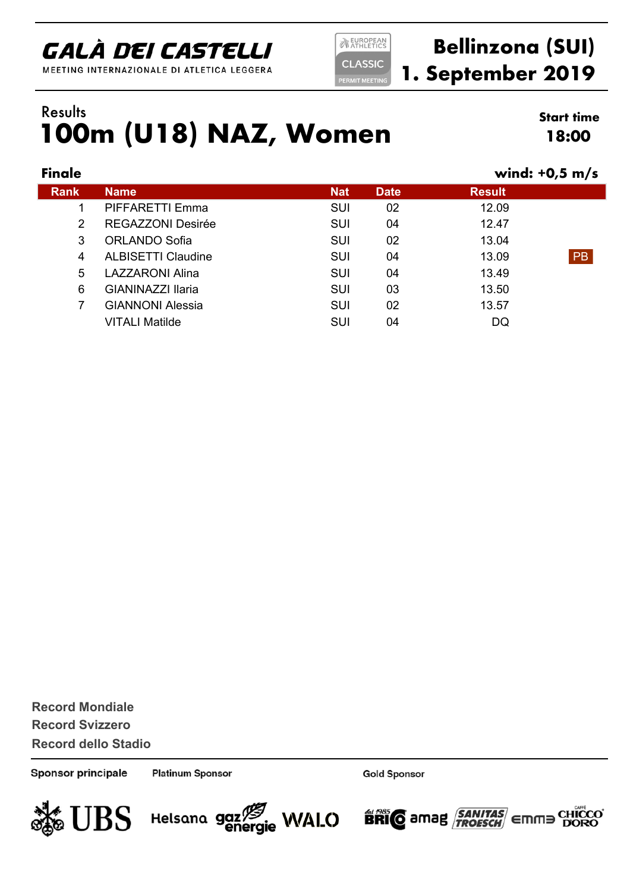MEETING INTERNAZIONALE DI ATLETICA LEGGERA

**NEUROPEAN CLASSIC** 

### **Bellinzona (SUI) 1. September 2019**

#### **100m (U18) NAZ, Women** Results **Start time**

**18:00**

| Finale      |                           |            |             | wind: $+0.5$ m/s |           |
|-------------|---------------------------|------------|-------------|------------------|-----------|
| <b>Rank</b> | <b>Name</b>               | <b>Nat</b> | <b>Date</b> | <b>Result</b>    |           |
|             | PIFFARETTI Emma           | <b>SUI</b> | 02          | 12.09            |           |
| 2           | <b>REGAZZONI Desirée</b>  | <b>SUI</b> | 04          | 12.47            |           |
| 3           | <b>ORLANDO Sofia</b>      | <b>SUI</b> | 02          | 13.04            |           |
| 4           | <b>ALBISETTI Claudine</b> | SUI        | 04          | 13.09            | <b>PB</b> |
| 5           | <b>LAZZARONI Alina</b>    | <b>SUI</b> | 04          | 13.49            |           |
| 6           | GIANINAZZI Ilaria         | <b>SUI</b> | 03          | 13.50            |           |
| 7           | <b>GIANNONI Alessia</b>   | <b>SUI</b> | 02          | 13.57            |           |
|             | <b>VITALI Matilde</b>     | <b>SUI</b> | 04          | DQ               |           |
|             |                           |            |             |                  |           |

**Record Svizzero Record dello Stadio Record Mondiale**

Sponsor principale

**Platinum Sponsor** 

Helsana gaz<sup>15</sup> WALO

**Gold Sponsor** 

**BRIC** amag **SANITAS** Emma

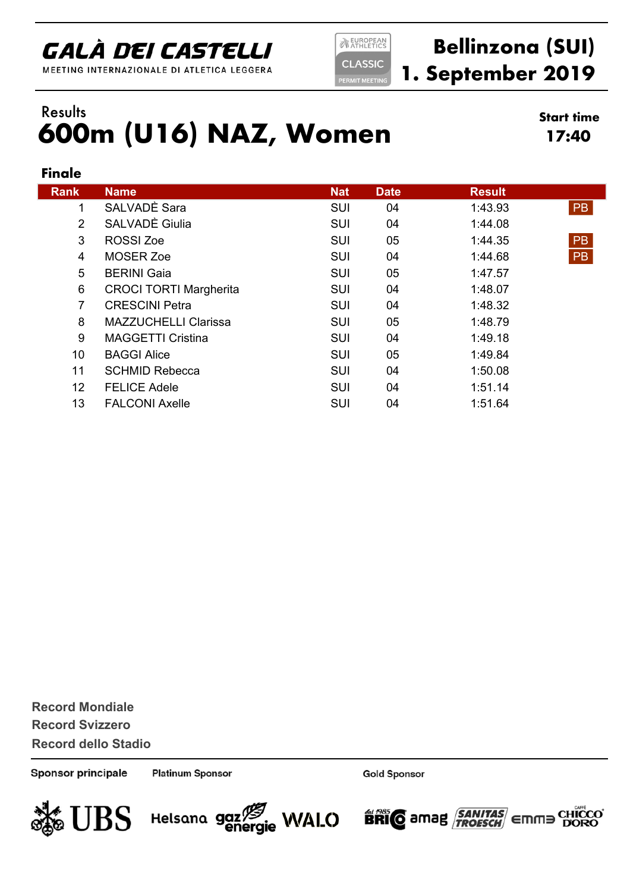MEETING INTERNAZIONALE DI ATLETICA LEGGERA

**EUROPEAN CLASSIC ERMIT MEETIN** 

### **Bellinzona (SUI) 1. September 2019**

#### **600m (U16) NAZ, Women** Results **Start time**

**17:40**

#### **Finale**

| <b>Rank</b>     | <b>Name</b>                   | <b>Nat</b> | <b>Date</b> | <b>Result</b> |           |
|-----------------|-------------------------------|------------|-------------|---------------|-----------|
| 1               | SALVADÈ Sara                  | <b>SUI</b> | 04          | 1:43.93       | <b>PB</b> |
| $\overline{2}$  | SALVADÈ Giulia                | <b>SUI</b> | 04          | 1:44.08       |           |
| 3               | <b>ROSSI Zoe</b>              | <b>SUI</b> | 05          | 1:44.35       | <b>PB</b> |
| 4               | <b>MOSER Zoe</b>              | SUI        | 04          | 1:44.68       | <b>PB</b> |
| 5               | <b>BERINI Gaia</b>            | <b>SUI</b> | 05          | 1:47.57       |           |
| 6               | <b>CROCI TORTI Margherita</b> | <b>SUI</b> | 04          | 1:48.07       |           |
| $\overline{7}$  | <b>CRESCINI Petra</b>         | <b>SUI</b> | 04          | 1:48.32       |           |
| 8               | <b>MAZZUCHELLI Clarissa</b>   | <b>SUI</b> | 05          | 1:48.79       |           |
| 9               | <b>MAGGETTI Cristina</b>      | <b>SUI</b> | 04          | 1:49.18       |           |
| 10 <sup>°</sup> | <b>BAGGI Alice</b>            | <b>SUI</b> | 05          | 1:49.84       |           |
| 11              | <b>SCHMID Rebecca</b>         | SUI        | 04          | 1:50.08       |           |
| 12 <sup>2</sup> | <b>FELICE Adele</b>           | <b>SUI</b> | 04          | 1:51.14       |           |
| 13              | <b>FALCONI Axelle</b>         | <b>SUI</b> | 04          | 1:51.64       |           |

**Record Svizzero Record dello Stadio Record Mondiale**

Sponsor principale

**Platinum Sponsor** 

Helsana gaz<sup>75</sup> WALO

**Gold Sponsor** 

**BRIC** amag **SANITAS** Emma